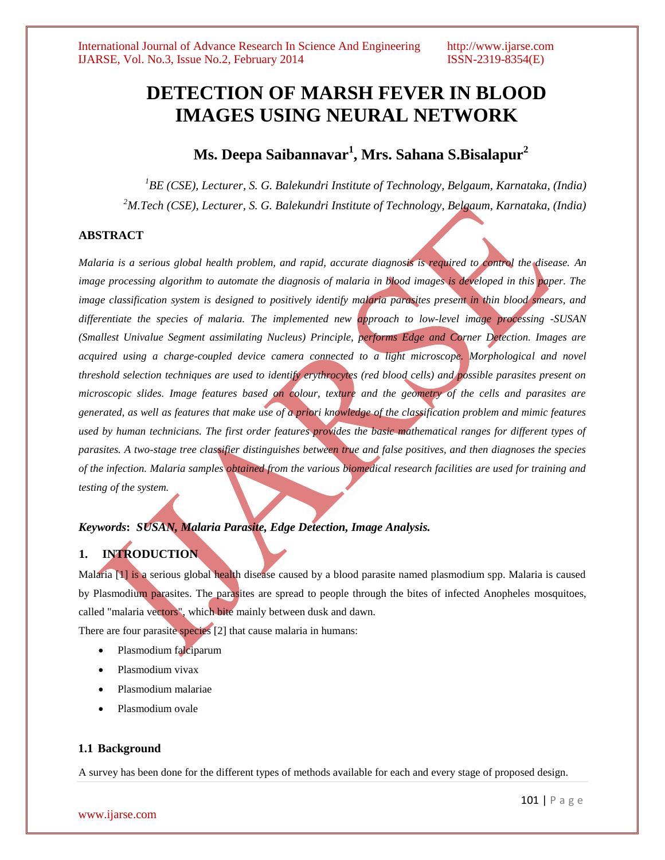# **DETECTION OF MARSH FEVER IN BLOOD IMAGES USING NEURAL NETWORK**

# **Ms. Deepa Saibannavar<sup>1</sup> , Mrs. Sahana S.Bisalapur<sup>2</sup>**

*<sup>1</sup>BE (CSE), Lecturer, S. G. Balekundri Institute of Technology, Belgaum, Karnataka, (India) <sup>2</sup>M.Tech (CSE), Lecturer, S. G. Balekundri Institute of Technology, Belgaum, Karnataka, (India)*

### **ABSTRACT**

*Malaria is a serious global health problem, and rapid, accurate diagnosis is required to control the disease. An image processing algorithm to automate the diagnosis of malaria in blood images is developed in this paper. The image classification system is designed to positively identify malaria parasites present in thin blood smears, and differentiate the species of malaria. The implemented new approach to low-level image processing -SUSAN (Smallest Univalue Segment assimilating Nucleus) Principle, performs Edge and Corner Detection. Images are acquired using a charge-coupled device camera connected to a light microscope. Morphological and novel threshold selection techniques are used to identify erythrocytes (red blood cells) and possible parasites present on microscopic slides. Image features based on colour, texture and the geometry of the cells and parasites are generated, as well as features that make use of a priori knowledge of the classification problem and mimic features*  used by human technicians. The first order features provides the basic mathematical ranges for different types of *parasites. A two-stage tree classifier distinguishes between true and false positives, and then diagnoses the species of the infection. Malaria samples obtained from the various biomedical research facilities are used for training and testing of the system.*

# *Keywords***:** *SUSAN, Malaria Parasite, Edge Detection, Image Analysis.*

# **1. INTRODUCTION**

Malaria [1] is a serious global health disease caused by a blood parasite named plasmodium spp. Malaria is caused by Plasmodium parasites. The parasites are spread to people through the bites of infected Anopheles mosquitoes, called "malaria vectors", which bite mainly between dusk and dawn.

There are four parasite species [2] that cause malaria in humans:

- Plasmodium falciparum
- Plasmodium vivax
- Plasmodium malariae
- Plasmodium ovale

#### **1.1 Background**

A survey has been done for the different types of methods available for each and every stage of proposed design.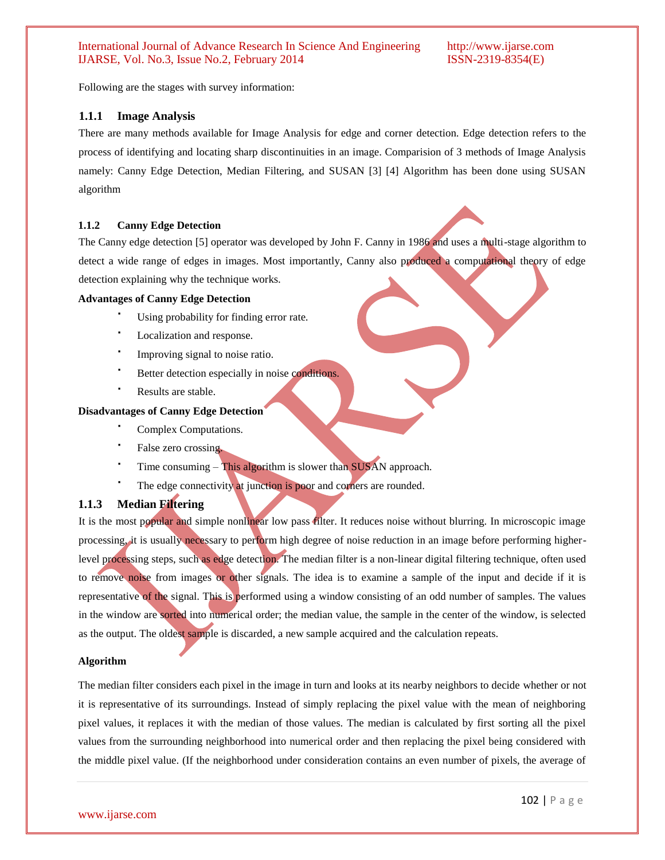Following are the stages with survey information:

### **1.1.1 Image Analysis**

There are many methods available for Image Analysis for edge and corner detection. Edge detection refers to the process of identifying and locating sharp discontinuities in an image. Comparision of 3 methods of Image Analysis namely: Canny Edge Detection, Median Filtering, and SUSAN [3] [4] Algorithm has been done using SUSAN algorithm

#### **1.1.2 Canny Edge Detection**

The Canny edge detection [5] operator was developed by John F. Canny in 1986 and uses a multi-stage algorithm to detect a wide range of edges in images. Most importantly, Canny also produced a computational theory of edge detection explaining why the technique works.

#### **Advantages of Canny Edge Detection**

- Using probability for finding error rate.
- Localization and response.
- . Improving signal to noise ratio.
- Better detection especially in noise conditions.
- Results are stable.

#### **Disadvantages of Canny Edge Detection**

- Complex Computations.
- False zero crossing.
- Time consuming This algorithm is slower than SUSAN approach.
- The edge connectivity at junction is poor and corners are rounded.

### **1.1.3 Median Filtering**

It is the most popular and simple nonlinear low pass filter. It reduces noise without blurring. In microscopic image processing, it is usually necessary to perform high degree of noise reduction in an image before performing higherlevel processing steps, such as edge detection. The median filter is a non-linear digital filtering technique, often used to remove noise from images or other signals. The idea is to examine a sample of the input and decide if it is representative of the signal. This is performed using a window consisting of an odd number of samples. The values in the window are sorted into numerical order; the median value, the sample in the center of the window, is selected as the output. The oldest sample is discarded, a new sample acquired and the calculation repeats.

#### **Algorithm**

The median filter considers each pixel in the image in turn and looks at its nearby neighbors to decide whether or not it is representative of its surroundings. Instead of simply replacing the pixel value with the mean of neighboring pixel values, it replaces it with the median of those values. The median is calculated by first sorting all the pixel values from the surrounding neighborhood into numerical order and then replacing the pixel being considered with the middle pixel value. (If the neighborhood under consideration contains an even number of pixels, the average of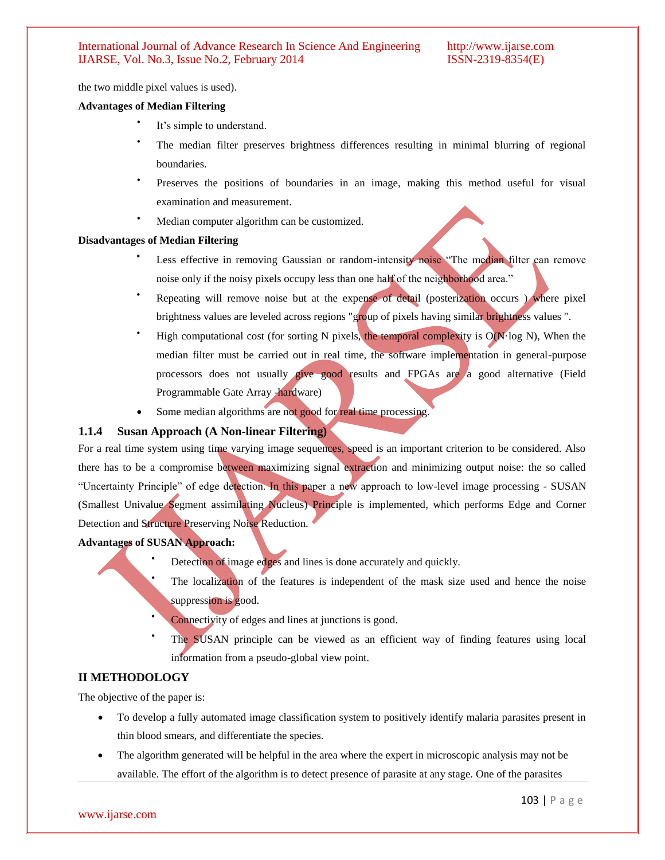the two middle pixel values is used).

#### **Advantages of Median Filtering**

- $\bullet$ It's simple to understand.
- The median filter preserves brightness differences resulting in minimal blurring of regional boundaries.
- $\bullet$ Preserves the positions of boundaries in an image, making this method useful for visual examination and measurement.
- Median computer algorithm can be customized.

#### **Disadvantages of Median Filtering**

- Less effective in removing Gaussian or random-intensity noise "The median filter can remove noise only if the noisy pixels occupy less than one half of the neighborhood area."
- Repeating will remove noise but at the expense of detail (posterization occurs ) where pixel brightness values are leveled across regions "group of pixels having similar brightness values".
- High computational cost (for sorting N pixels, the temporal complexity is  $O(N \log N)$ , When the median filter must be carried out in real time, the software implementation in general-purpose processors does not usually give good results and FPGAs are a good alternative (Field Programmable Gate Array -hardware)
- Some median algorithms are not good for real time processing.

# **1.1.4 Susan Approach (A Non-linear Filtering)**

For a real time system using time varying image sequences, speed is an important criterion to be considered. Also there has to be a compromise between maximizing signal extraction and minimizing output noise: the so called "Uncertainty Principle" of edge detection. In this paper a new approach to low-level image processing - SUSAN (Smallest Univalue Segment assimilating Nucleus) Principle is implemented, which performs Edge and Corner Detection and Structure Preserving Noise Reduction.

#### **Advantages of SUSAN Approach:**

- Detection of image edges and lines is done accurately and quickly.
	- The localization of the features is independent of the mask size used and hence the noise suppression is good.
	- Connectivity of edges and lines at junctions is good.
- $\bullet$ The SUSAN principle can be viewed as an efficient way of finding features using local information from a pseudo-global view point.

# **II METHODOLOGY**

The objective of the paper is:

- To develop a fully automated image classification system to positively identify malaria parasites present in thin blood smears, and differentiate the species.
- The algorithm generated will be helpful in the area where the expert in microscopic analysis may not be available. The effort of the algorithm is to detect presence of parasite at any stage. One of the parasites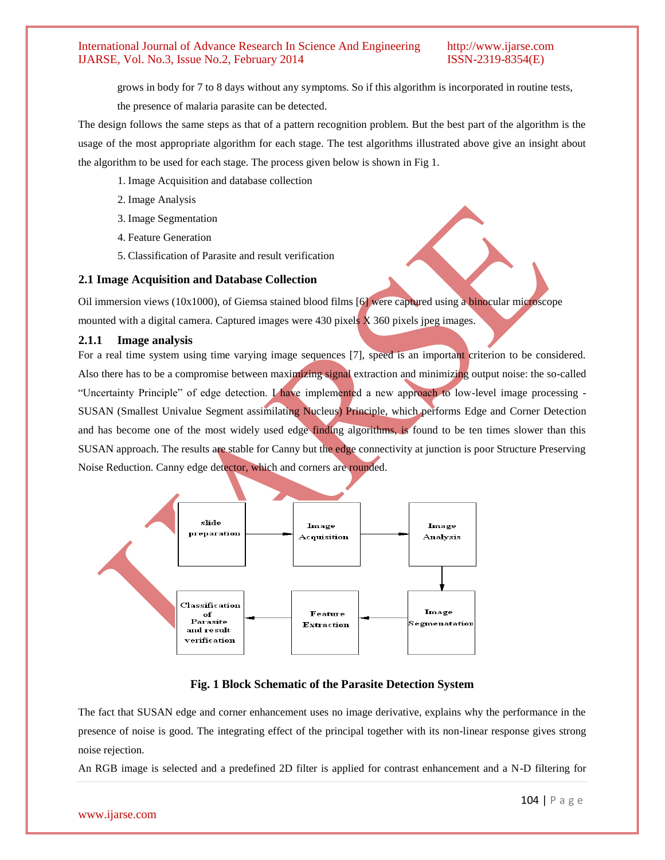grows in body for 7 to 8 days without any symptoms. So if this algorithm is incorporated in routine tests,

the presence of malaria parasite can be detected.

The design follows the same steps as that of a pattern recognition problem. But the best part of the algorithm is the usage of the most appropriate algorithm for each stage. The test algorithms illustrated above give an insight about the algorithm to be used for each stage. The process given below is shown in Fig 1.

- 1. Image Acquisition and database collection
- 2. Image Analysis
- 3. Image Segmentation
- 4. Feature Generation
- 5. Classification of Parasite and result verification

### **2.1 Image Acquisition and Database Collection**

Oil immersion views (10x1000), of Giemsa stained blood films [6] were captured using a binocular microscope mounted with a digital camera. Captured images were  $430$  pixels  $\bar{X}$  360 pixels jpeg images.

### **2.1.1 Image analysis**

For a real time system using time varying image sequences [7], speed is an important criterion to be considered. Also there has to be a compromise between maximizing signal extraction and minimizing output noise: the so-called "Uncertainty Principle" of edge detection. I have implemented a new approach to low-level image processing - SUSAN (Smallest Univalue Segment assimilating Nucleus) Principle, which performs Edge and Corner Detection and has become one of the most widely used edge finding algorithms, is found to be ten times slower than this SUSAN approach. The results are stable for Canny but the edge connectivity at junction is poor Structure Preserving Noise Reduction. Canny edge detector, which and corners are rounded.



# **Fig. 1 Block Schematic of the Parasite Detection System**

The fact that SUSAN edge and corner enhancement uses no image derivative, explains why the performance in the presence of noise is good. The integrating effect of the principal together with its non-linear response gives strong noise rejection.

An RGB image is selected and a predefined 2D filter is applied for contrast enhancement and a N-D filtering for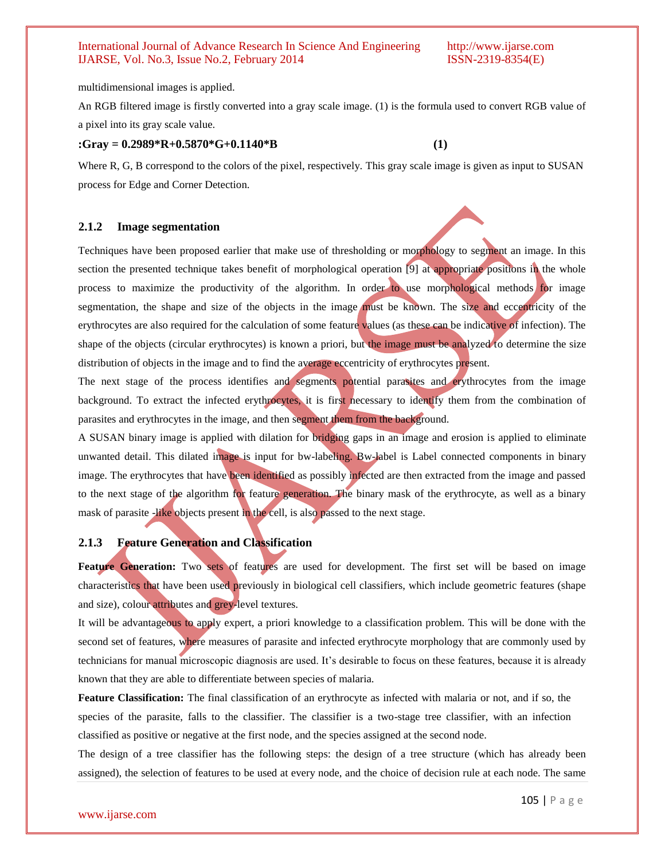multidimensional images is applied.

An RGB filtered image is firstly converted into a gray scale image. (1) is the formula used to convert RGB value of a pixel into its gray scale value.

#### **:Gray = 0.2989\*R+0.5870\*G+0.1140\*B (1)**

Where R, G, B correspond to the colors of the pixel, respectively. This gray scale image is given as input to SUSAN process for Edge and Corner Detection.

### **2.1.2 Image segmentation**

Techniques have been proposed earlier that make use of thresholding or morphology to segment an image. In this section the presented technique takes benefit of morphological operation [9] at appropriate positions in the whole process to maximize the productivity of the algorithm. In order to use morphological methods for image segmentation, the shape and size of the objects in the image must be known. The size and eccentricity of the erythrocytes are also required for the calculation of some feature values (as these can be indicative of infection). The shape of the objects (circular erythrocytes) is known a priori, but the image must be analyzed to determine the size distribution of objects in the image and to find the average eccentricity of erythrocytes present.

The next stage of the process identifies and segments potential parasites and erythrocytes from the image background. To extract the infected erythrocytes, it is first necessary to identify them from the combination of parasites and erythrocytes in the image, and then segment them from the background.

A SUSAN binary image is applied with dilation for bridging gaps in an image and erosion is applied to eliminate unwanted detail. This dilated image is input for bw-labeling. Bw-label is Label connected components in binary image. The erythrocytes that have been identified as possibly infected are then extracted from the image and passed to the next stage of the algorithm for feature generation. The binary mask of the erythrocyte, as well as a binary mask of parasite -like objects present in the cell, is also passed to the next stage.

# **2.1.3 Feature Generation and Classification**

Feature Generation: Two sets of features are used for development. The first set will be based on image characteristics that have been used previously in biological cell classifiers, which include geometric features (shape and size), colour attributes and grey-level textures.

It will be advantageous to apply expert, a priori knowledge to a classification problem. This will be done with the second set of features, where measures of parasite and infected erythrocyte morphology that are commonly used by technicians for manual microscopic diagnosis are used. It"s desirable to focus on these features, because it is already known that they are able to differentiate between species of malaria.

**Feature Classification:** The final classification of an erythrocyte as infected with malaria or not, and if so, the species of the parasite, falls to the classifier. The classifier is a two-stage tree classifier, with an infection classified as positive or negative at the first node, and the species assigned at the second node.

The design of a tree classifier has the following steps: the design of a tree structure (which has already been assigned), the selection of features to be used at every node, and the choice of decision rule at each node. The same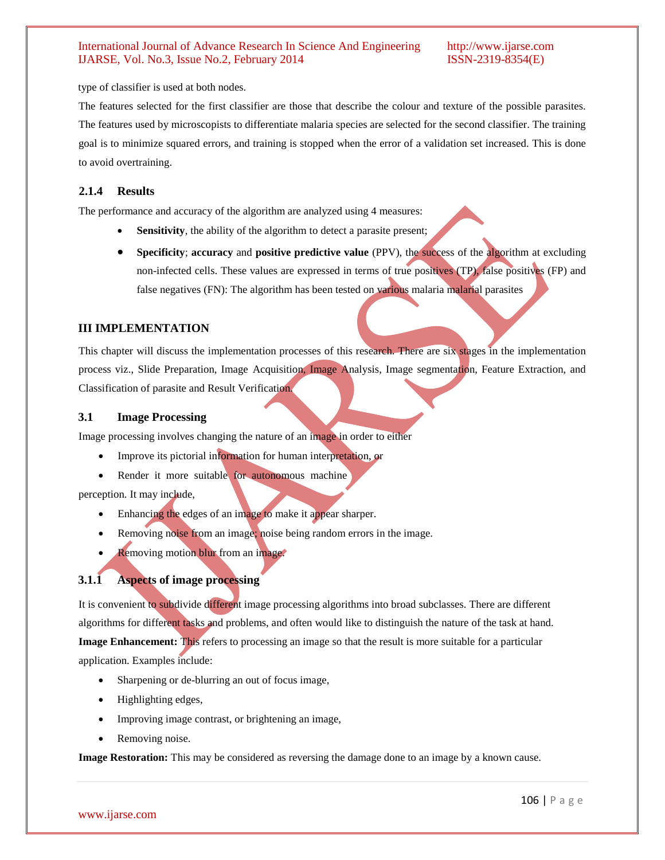type of classifier is used at both nodes.

The features selected for the first classifier are those that describe the colour and texture of the possible parasites. The features used by microscopists to differentiate malaria species are selected for the second classifier. The training goal is to minimize squared errors, and training is stopped when the error of a validation set increased. This is done to avoid overtraining.

# **2.1.4 Results**

The performance and accuracy of the algorithm are analyzed using 4 measures:

- **Sensitivity**, the ability of the algorithm to detect a parasite present;
- **Specificity**; **accuracy** and **positive predictive value** (PPV), the success of the algorithm at excluding non-infected cells. These values are expressed in terms of true positives (TP), false positives (FP) and false negatives (FN): The algorithm has been tested on various malaria malarial parasites

# **III IMPLEMENTATION**

This chapter will discuss the implementation processes of this research. There are six stages in the implementation process viz., Slide Preparation, Image Acquisition, Image Analysis, Image segmentation, Feature Extraction, and Classification of parasite and Result Verification.

### **3.1 Image Processing**

Image processing involves changing the nature of an image in order to either

- Improve its pictorial information for human interpretation, or
- Render it more suitable for autonomous machine

perception. It may include,

- Enhancing the edges of an image to make it appear sharper.
- Removing noise from an image; noise being random errors in the image.
- Removing motion blur from an image.

# **3.1.1 Aspects of image processing**

It is convenient to subdivide different image processing algorithms into broad subclasses. There are different algorithms for different tasks and problems, and often would like to distinguish the nature of the task at hand. **Image Enhancement:** This refers to processing an image so that the result is more suitable for a particular application. Examples include:

- Sharpening or de-blurring an out of focus image,
- Highlighting edges,
- Improving image contrast, or brightening an image,
- Removing noise.

**Image Restoration:** This may be considered as reversing the damage done to an image by a known cause.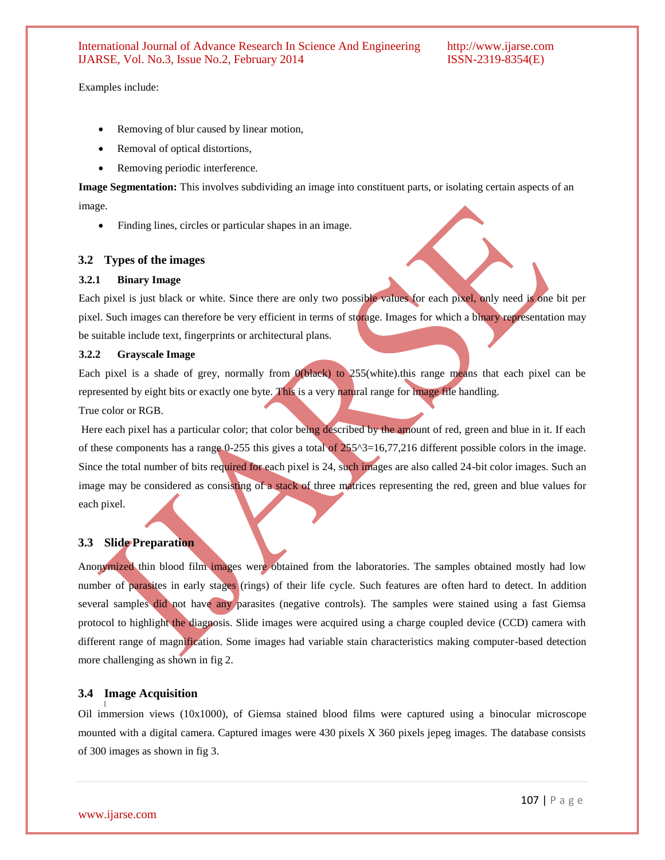Examples include:

- Removing of blur caused by linear motion,
- Removal of optical distortions,
- Removing periodic interference.

**Image Segmentation:** This involves subdividing an image into constituent parts, or isolating certain aspects of an image.

Finding lines, circles or particular shapes in an image.

# **3.2 Types of the images**

#### **3.2.1 Binary Image**

Each pixel is just black or white. Since there are only two possible values for each pixel, only need is one bit per pixel. Such images can therefore be very efficient in terms of storage. Images for which a binary representation may be suitable include text, fingerprints or architectural plans.

#### **3.2.2 Grayscale Image**

Each pixel is a shade of grey, normally from 0(black) to 255(white).this range means that each pixel can be represented by eight bits or exactly one byte. This is a very natural range for image file handling. True color or RGB.

Here each pixel has a particular color; that color being described by the amount of red, green and blue in it. If each of these components has a range  $0-255$  this gives a total of  $255^{\prime}\text{3}$ =16,77,216 different possible colors in the image. Since the total number of bits required for each pixel is 24, such images are also called 24-bit color images. Such an image may be considered as consisting of a stack of three matrices representing the red, green and blue values for each pixel.

#### **3.3 Slide Preparation**

Anonymized thin blood film images were obtained from the laboratories. The samples obtained mostly had low number of parasites in early stages (rings) of their life cycle. Such features are often hard to detect. In addition several samples did not have any parasites (negative controls). The samples were stained using a fast Giemsa protocol to highlight the diagnosis. Slide images were acquired using a charge coupled device (CCD) camera with different range of magnification. Some images had variable stain characteristics making computer-based detection more challenging as shown in fig 2.

#### **3.4 Image Acquisition**

Oil immersion views (10x1000), of Giemsa stained blood films were captured using a binocular microscope mounted with a digital camera. Captured images were 430 pixels X 360 pixels jepeg images. The database consists of 300 images as shown in fig 3.

[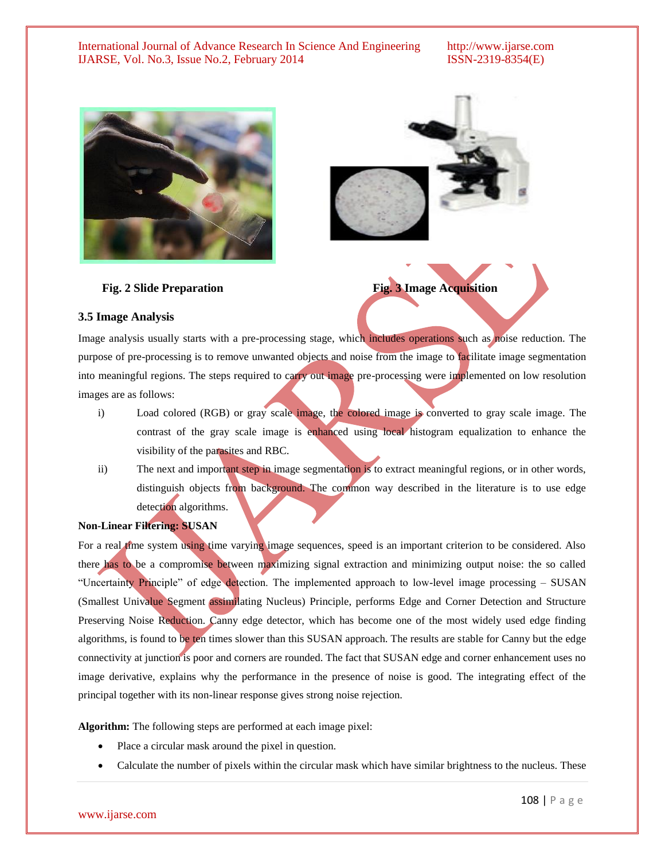



**Fig. 2 Slide Preparation Fig. 3 Image Acquisition** 

#### **3.5 Image Analysis**

Image analysis usually starts with a pre-processing stage, which includes operations such as noise reduction. The purpose of pre-processing is to remove unwanted objects and noise from the image to facilitate image segmentation into meaningful regions. The steps required to carry out image pre-processing were implemented on low resolution images are as follows:

- i) Load colored (RGB) or gray scale image, the colored image is converted to gray scale image. The contrast of the gray scale image is enhanced using local histogram equalization to enhance the visibility of the parasites and RBC.
- ii) The next and important step in image segmentation is to extract meaningful regions, or in other words, distinguish objects from background. The common way described in the literature is to use edge detection algorithms.

# **Non-Linear Filtering: SUSAN**

For a real time system using time varying image sequences, speed is an important criterion to be considered. Also there has to be a compromise between maximizing signal extraction and minimizing output noise: the so called "Uncertainty Principle" of edge detection. The implemented approach to low-level image processing – SUSAN (Smallest Univalue Segment assimilating Nucleus) Principle, performs Edge and Corner Detection and Structure Preserving Noise Reduction. Canny edge detector, which has become one of the most widely used edge finding algorithms, is found to be ten times slower than this SUSAN approach. The results are stable for Canny but the edge connectivity at junction is poor and corners are rounded. The fact that SUSAN edge and corner enhancement uses no image derivative, explains why the performance in the presence of noise is good. The integrating effect of the principal together with its non-linear response gives strong noise rejection.

**Algorithm:** The following steps are performed at each image pixel:

- Place a circular mask around the pixel in question.
- Calculate the number of pixels within the circular mask which have similar brightness to the nucleus. These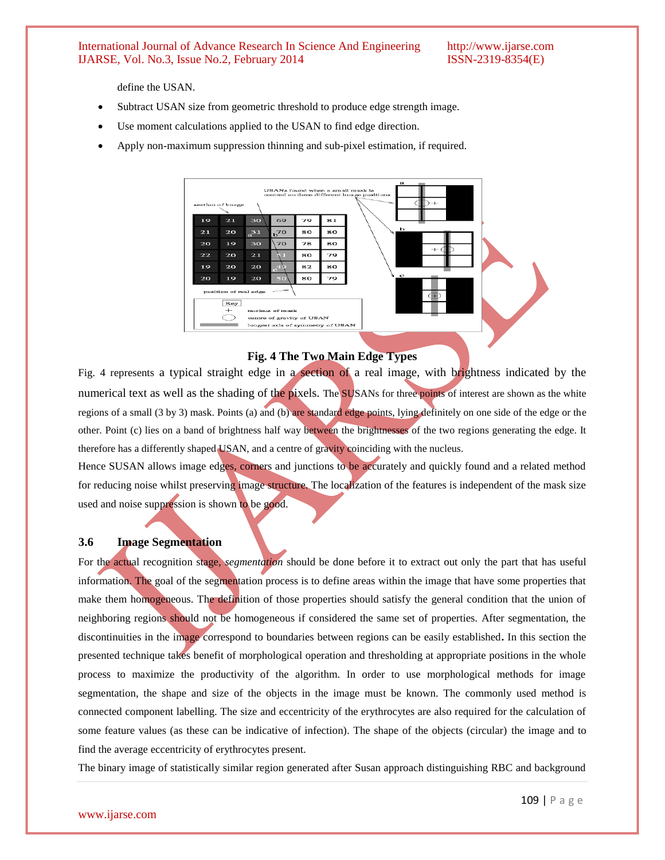define the USAN.

- Subtract USAN size from geometric threshold to produce edge strength image.
- Use moment calculations applied to the USAN to find edge direction.
- Apply non-maximum suppression thinning and sub-pixel estimation, if required.



#### **Fig. 4 The Two Main Edge Types**

Fig. 4 represents a typical straight edge in a section of a real image, with brightness indicated by the numerical text as well as the shading of the pixels. The SUSANs for three points of interest are shown as the white regions of a small (3 by 3) mask. Points (a) and (b) are standard edge points, lying definitely on one side of the edge or the other. Point (c) lies on a band of brightness half way between the brightnesses of the two regions generating the edge. It therefore has a differently shaped USAN, and a centre of gravity coinciding with the nucleus.

Hence SUSAN allows image edges, corners and junctions to be accurately and quickly found and a related method for reducing noise whilst preserving image structure. The localization of the features is independent of the mask size used and noise suppression is shown to be good.

# **3.6 Image Segmentation**

For the actual recognition stage, *segmentation* should be done before it to extract out only the part that has useful information. The goal of the segmentation process is to define areas within the image that have some properties that make them homogeneous. The definition of those properties should satisfy the general condition that the union of neighboring regions should not be homogeneous if considered the same set of properties. After segmentation, the discontinuities in the image correspond to boundaries between regions can be easily established**.** In this section the presented technique takes benefit of morphological operation and thresholding at appropriate positions in the whole process to maximize the productivity of the algorithm. In order to use morphological methods for image segmentation, the shape and size of the objects in the image must be known. The commonly used method is connected component labelling. The size and eccentricity of the erythrocytes are also required for the calculation of some feature values (as these can be indicative of infection). The shape of the objects (circular) the image and to find the average eccentricity of erythrocytes present.

The binary image of statistically similar region generated after Susan approach distinguishing RBC and background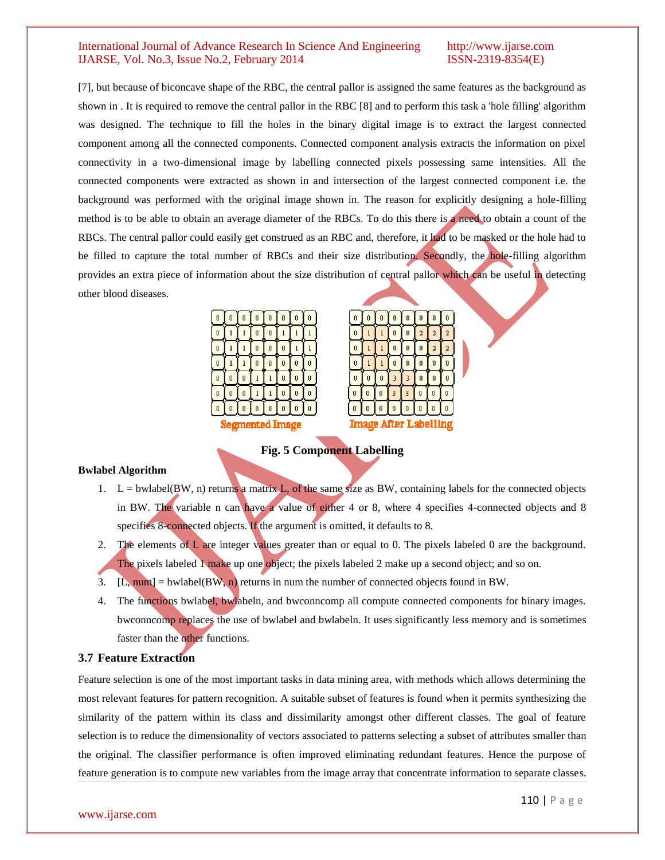[7], but because of biconcave shape of the RBC, the central pallor is assigned the same features as the background as shown in . It is required to remove the central pallor in the RBC [8] and to perform this task a 'hole filling' algorithm was designed. The technique to fill the holes in the binary digital image is to extract the largest connected component among all the connected components. Connected component analysis extracts the information on pixel connectivity in a two-dimensional image by labelling connected pixels possessing same intensities. All the connected components were extracted as shown in and intersection of the largest connected component i.e. the background was performed with the original image shown in. The reason for explicitly designing a hole-filling method is to be able to obtain an average diameter of the RBCs. To do this there is a need to obtain a count of the RBCs. The central pallor could easily get construed as an RBC and, therefore, it had to be masked or the hole had to be filled to capture the total number of RBCs and their size distribution. Secondly, the hole-filling algorithm provides an extra piece of information about the size distribution of central pallor which can be useful in detecting other blood diseases.

| Ō           | Ů | Ō | Ō | Ů | Ō            | Ů      | Ů            |
|-------------|---|---|---|---|--------------|--------|--------------|
| 0           | ı | ı | 0 | 0 | $\mathbf{1}$ | ı      | $\mathbf{1}$ |
| Q           | ŋ | ı | o | 0 | 0            | l<br>n | ı            |
| Ō           | ı | l | Ō | Ō | Ō            | Ō      | Ů            |
| 0           | 0 | 0 | 1 | ı | 0            | 0      | 0            |
| Q           | Q | Q |   | 1 | 0            | 0<br>п | Q            |
| Ō           | Ů | Ō | Ō | Ō | Ō            | Ō      | Ů            |
| Ł<br>ı<br>c |   |   |   |   |              |        |              |



**Fig. 5 Component Labelling**

#### **Bwlabel Algorithm**

- 1.  $L =$  bwlabel(BW, n) returns a matrix L, of the same size as BW, containing labels for the connected objects in BW. The variable n can have a value of either 4 or 8, where 4 specifies 4-connected objects and 8 specifies 8-connected objects. If the argument is omitted, it defaults to 8.
- 2. The elements of L are integer values greater than or equal to 0. The pixels labeled 0 are the background. The pixels labeled 1 make up one object; the pixels labeled 2 make up a second object; and so on.
- 3.  $[L, num] = \text{bwlabel}(BW, n)$  returns in num the number of connected objects found in BW.
- 4. The functions bwlabel, bwlabeln, and bwconncomp all compute connected components for binary images. bwconncomp replaces the use of bwlabel and bwlabeln. It uses significantly less memory and is sometimes faster than the other functions.

# **3.7 Feature Extraction**

Feature selection is one of the most important tasks in data mining area, with methods which allows determining the most relevant features for pattern recognition. A suitable subset of features is found when it permits synthesizing the similarity of the pattern within its class and dissimilarity amongst other different classes. The goal of feature selection is to reduce the dimensionality of vectors associated to patterns selecting a subset of attributes smaller than the original. The classifier performance is often improved eliminating redundant features. Hence the purpose of feature generation is to compute new variables from the image array that concentrate information to separate classes.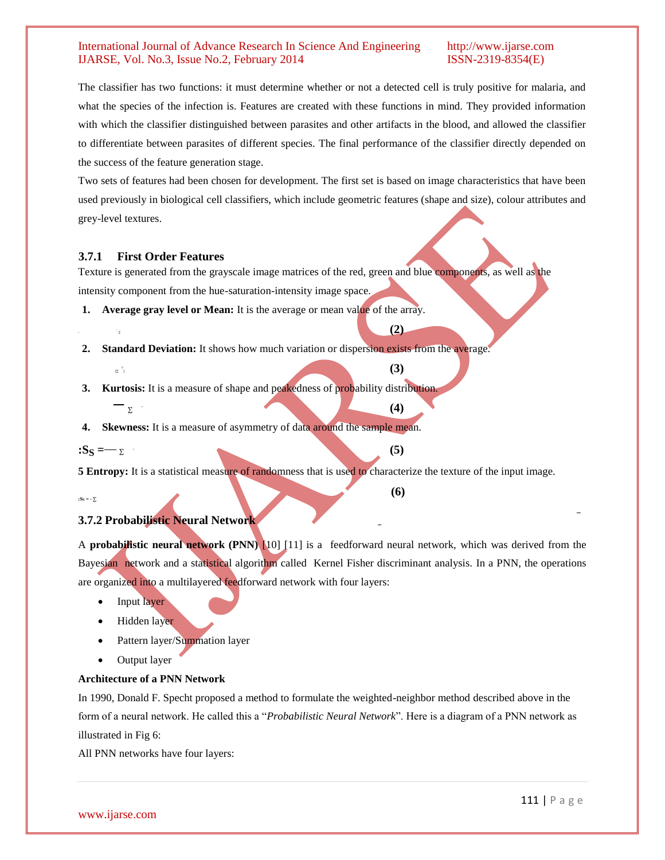The classifier has two functions: it must determine whether or not a detected cell is truly positive for malaria, and what the species of the infection is. Features are created with these functions in mind. They provided information with which the classifier distinguished between parasites and other artifacts in the blood, and allowed the classifier to differentiate between parasites of different species. The final performance of the classifier directly depended on the success of the feature generation stage.

Two sets of features had been chosen for development. The first set is based on image characteristics that have been used previously in biological cell classifiers, which include geometric features (shape and size), colour attributes and grey-level textures.

# **3.7.1 First Order Features**

Texture is generated from the grayscale image matrices of the red, green and blue components, as well as the intensity component from the hue-saturation-intensity image space.

**1. Average gray level or Mean:** It is the average or mean value of the array.

 $\sum_{\alpha}$  (2)

- **2. Standard Deviation:** It shows how much variation or dispersion exists from the average.
- $\hspace{2.6cm}$  (3) **3. Kurtosis:** It is a measure of shape and peakedness of probability distribution.
	- <sup>∑</sup>̅ **(4)**

 $[ $\Sigma$ ]<sup>^</sup>$ 

**4. Skewness:** It is a measure of asymmetry of data around the sample mean.

 $\mathbf{S}_\mathbf{S} = -\mathbf{S}$  (5)

**:** ̅

**5 Entropy:** It is a statistical measure of randomness that is used to characterize the texture of the input image.

**:S<sup>E</sup> = -** ∑

### **3.7.2 Probabilistic Neural Network**

A **probabilistic neural network (PNN)** [10] [11] is a [feedforward neural network,](http://en.wikipedia.org/wiki/Feedforward_neural_network) which was derived from the [Bayesian network](http://en.wikipedia.org/wiki/Bayesian_network) and a statistical algorithm called [Kernel Fisher discriminant analysis.](http://en.wikipedia.org/wiki/Kernel_Fisher_discriminant_analysis) In a PNN, the operations are organized into a multilayered feedforward network with four layers:

**(6)**

- Input layer
- Hidden layer
- Pattern layer/Summation layer
- Output layer

#### **Architecture of a PNN Network**

In 1990, Donald F. Specht proposed a method to formulate the weighted-neighbor method described above in the form of a neural network. He called this a "*Probabilistic Neural Network*". Here is a diagram of a PNN network as illustrated in Fig 6:

All PNN networks have four layers: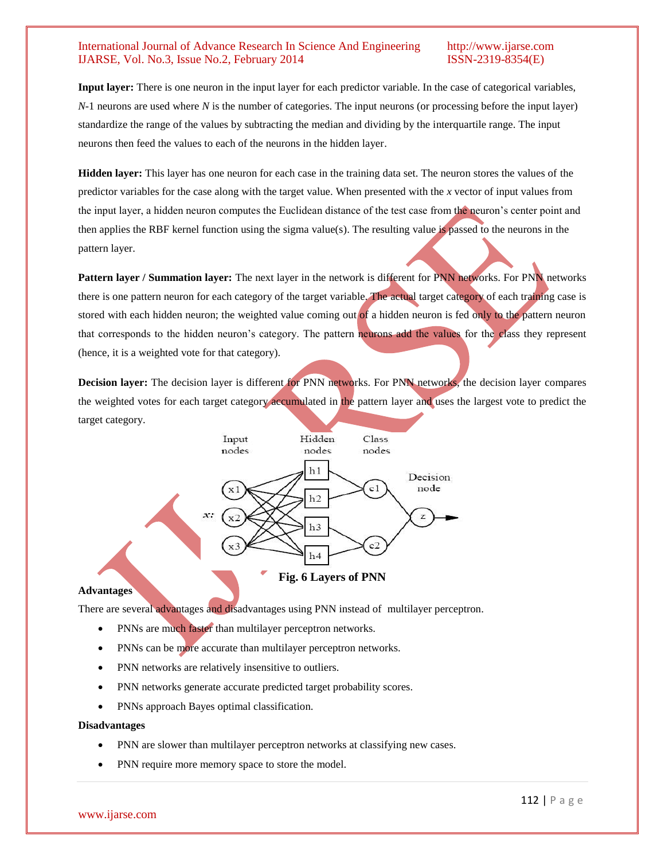**Input layer:** There is one neuron in the input layer for each predictor variable. In the case of categorical variables, *N*-1 neurons are used where *N* is the number of categories. The input neurons (or processing before the input layer) standardize the range of the values by subtracting the median and dividing by the interquartile range. The input neurons then feed the values to each of the neurons in the hidden layer.

**Hidden layer:** This layer has one neuron for each case in the training data set. The neuron stores the values of the predictor variables for the case along with the target value. When presented with the *x* vector of input values from the input layer, a hidden neuron computes the Euclidean distance of the test case from the neuron"s center point and then applies the RBF kernel function using the sigma value(s). The resulting value is passed to the neurons in the pattern layer.

**Pattern layer / Summation layer:** The next layer in the network is different for PNN networks. For PNN networks there is one pattern neuron for each category of the target variable. The actual target category of each training case is stored with each hidden neuron; the weighted value coming out of a hidden neuron is fed only to the pattern neuron that corresponds to the hidden neuron"s category. The pattern neurons add the values for the class they represent (hence, it is a weighted vote for that category).

**Decision layer:** The decision layer is different for PNN networks. For PNN networks, the decision layer compares the weighted votes for each target category accumulated in the pattern layer and uses the largest vote to predict the target category.



#### **Advantages**

There are several advantages and disadvantages using PNN instead of [multilayer perceptron.](http://en.wikipedia.org/wiki/Multilayer_perceptron)

- PNNs are much faster than multilayer perceptron networks.
- PNNs can be more accurate than multilayer perceptron networks.
- PNN networks are relatively insensitive to outliers.
- PNN networks generate accurate predicted target probability scores.
- PNNs approach Bayes optimal classification.

#### **Disadvantages**

- PNN are slower than multilayer perceptron networks at classifying new cases.
- PNN require more memory space to store the model.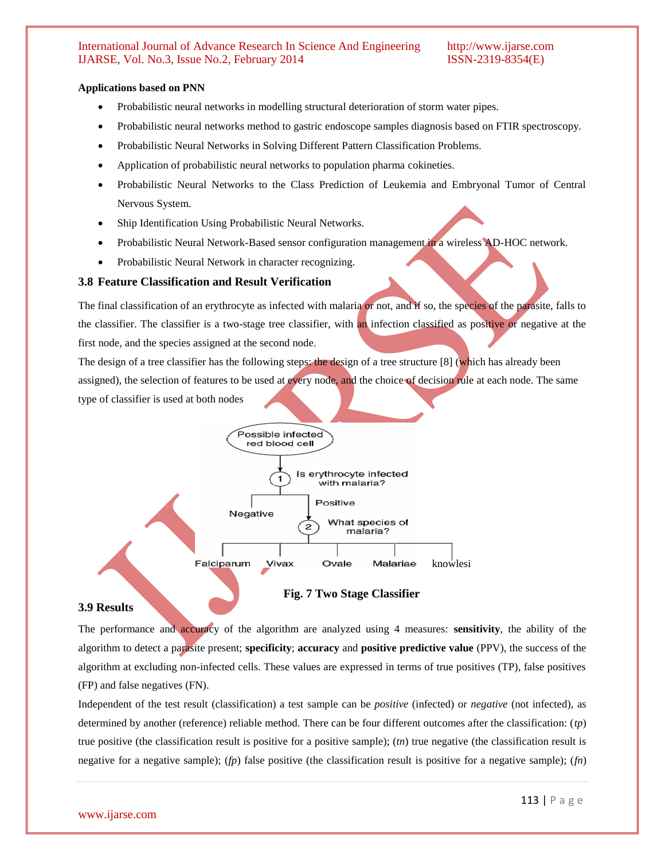#### **Applications based on PNN**

- Probabilistic neural networks in modelling structural deterioration of storm water pipes.
- Probabilistic neural networks method to gastric endoscope samples diagnosis based on FTIR spectroscopy.
- Probabilistic Neural Networks in Solving Different Pattern Classification Problems.
- Application of probabilistic neural networks to population pharma cokineties.
- Probabilistic Neural Networks to the Class Prediction of Leukemia and Embryonal Tumor of Central Nervous System.
- Ship Identification Using Probabilistic Neural Networks.
- Probabilistic Neural Network-Based sensor configuration management in a wireless AD-HOC network.
- Probabilistic Neural Network in character recognizing.

### **3.8 Feature Classification and Result Verification**

The final classification of an erythrocyte as infected with malaria or not, and if so, the species of the parasite, falls to the classifier. The classifier is a two-stage tree classifier, with an infection classified as positive or negative at the first node, and the species assigned at the second node.

The design of a tree classifier has the following steps: the design of a tree structure [8] (which has already been assigned), the selection of features to be used at every node, and the choice of decision rule at each node. The same type of classifier is used at both nodes



**Fig. 7 Two Stage Classifier**

#### **3.9 Results**

The performance and accuracy of the algorithm are analyzed using 4 measures: **sensitivity**, the ability of the algorithm to detect a parasite present; **specificity**; **accuracy** and **positive predictive value** (PPV), the success of the algorithm at excluding non-infected cells. These values are expressed in terms of true positives (TP), false positives (FP) and false negatives (FN).

Independent of the test result (classification) a test sample can be *positive* (infected) or *negative* (not infected), as determined by another (reference) reliable method. There can be four different outcomes after the classification: (*tp*) true positive (the classification result is positive for a positive sample); (*tn*) true negative (the classification result is negative for a negative sample); (*fp*) false positive (the classification result is positive for a negative sample); (*fn*)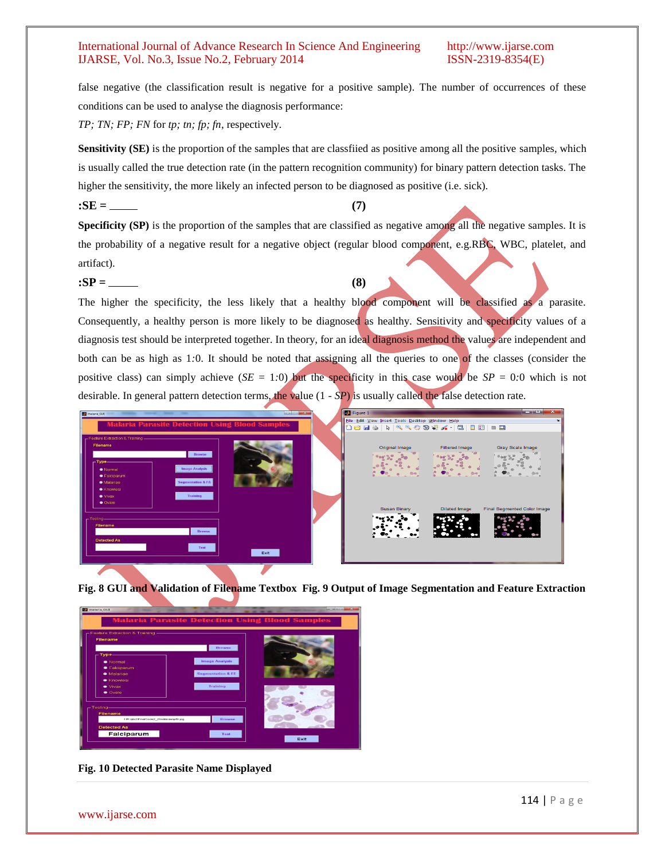false negative (the classification result is negative for a positive sample). The number of occurrences of these conditions can be used to analyse the diagnosis performance:

*TP; TN; FP; FN* for *tp; tn; fp; fn*, respectively.

 $\cdot$ **SE = (7)** 

**Sensitivity (SE)** is the proportion of the samples that are classfiied as positive among all the positive samples, which is usually called the true detection rate (in the pattern recognition community) for binary pattern detection tasks. The higher the sensitivity, the more likely an infected person to be diagnosed as positive (i.e. sick).

**Specificity (SP)** is the proportion of the samples that are classified as negative among all the negative samples. It is the probability of a negative result for a negative object (regular blood component, e.g.RBC, WBC, platelet, and artifact).

 $\mathbf{S} = \underline{\hspace{1cm}} (8)$ 

The higher the specificity, the less likely that a healthy blood component will be classified as a parasite. Consequently, a healthy person is more likely to be diagnosed as healthy. Sensitivity and specificity values of a diagnosis test should be interpreted together. In theory, for an ideal diagnosis method the values are independent and both can be as high as 1*:*0. It should be noted that assigning all the queries to one of the classes (consider the positive class) can simply achieve  $(SE = 1.0)$  but the specificity in this case would be  $SP = 0.0$  which is not desirable. In general pattern detection terms, the value (1 *- SP*) is usually called the false detection rate.



**Fig. 8 GUI and Validation of Filename Textbox Fig. 9 Output of Image Segmentation and Feature Extraction**



**Fig. 10 Detected Parasite Name Displayed**